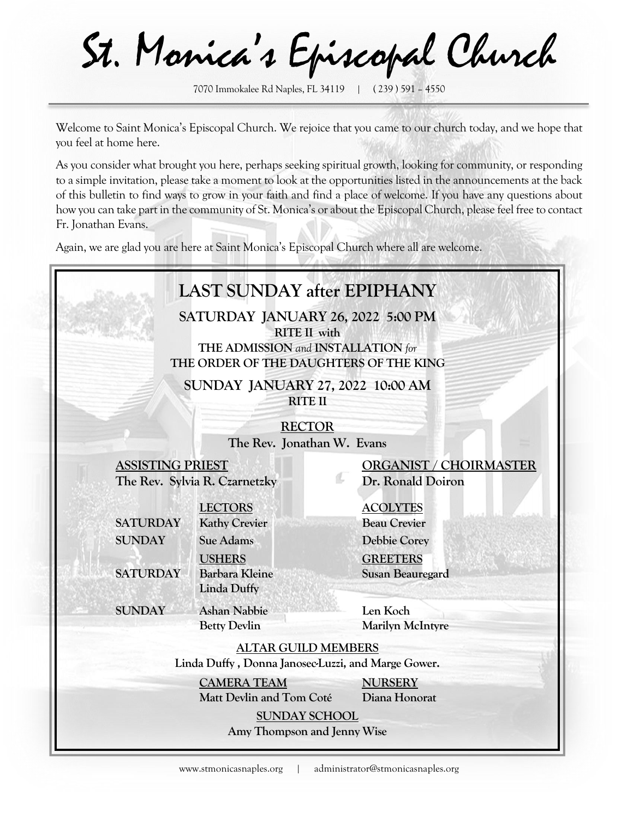St. Monica's Episcopal Church

7070 Immokalee Rd Naples, FL 34119 | ( 239 ) 591 – 4550

Welcome to Saint Monica's Episcopal Church. We rejoice that you came to our church today, and we hope that you feel at home here.

As you consider what brought you here, perhaps seeking spiritual growth, looking for community, or responding to a simple invitation, please take a moment to look at the opportunities listed in the announcements at the back of this bulletin to find ways to grow in your faith and find a place of welcome. If you have any questions about how you can take part in the community of St. Monica's or about the Episcopal Church, please feel free to contact Fr. Jonathan Evans.

Again, we are glad you are here at Saint Monica's Episcopal Church where all are welcome.

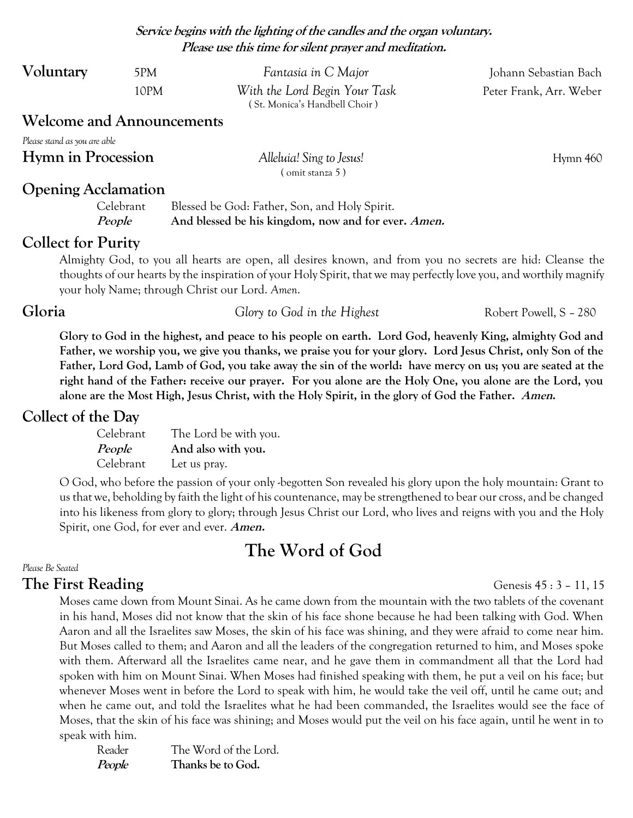|                                                        |  | Service begins with the lighting of the candles and the organ voluntary. |
|--------------------------------------------------------|--|--------------------------------------------------------------------------|
| Please use this time for silent prayer and meditation. |  |                                                                          |

| Voluntary | 5PM                              | Fantasia in C Major                                            | Johann Sebastian Bach   |
|-----------|----------------------------------|----------------------------------------------------------------|-------------------------|
|           | 10PM                             | With the Lord Begin Your Task<br>(St. Monica's Handbell Choir) | Peter Frank, Arr. Weber |
|           | <b>Welcome and Announcements</b> |                                                                |                         |

### **Welcome and Announcements**

| I icase surna as voa arc'aoic<br><b>Hymn in Procession</b> | Alleluia! Sing to Jesus! | Hymn 460 |
|------------------------------------------------------------|--------------------------|----------|
|                                                            | (omit stanza 5)          |          |

### **Opening Acclamation**

*Please stand as you are able*

Celebrant Blessed be God: Father, Son, and Holy Spirit. **People And blessed be his kingdom, now and for ever. Amen.**

### **Collect for Purity**

Almighty God, to you all hearts are open, all desires known, and from you no secrets are hid: Cleanse the thoughts of our hearts by the inspiration of your Holy Spirit, that we may perfectly love you, and worthily magnify your holy Name; through Christ our Lord. *Amen*.

**Gloria Glory to God in the Highest Robert Powell, S** – 280

**Glory to God in the highest, and peace to his people on earth. Lord God, heavenly King, almighty God and Father, we worship you, we give you thanks, we praise you for your glory. Lord Jesus Christ, only Son of the Father, Lord God, Lamb of God, you take away the sin of the world: have mercy on us; you are seated at the right hand of the Father: receive our prayer. For you alone are the Holy One, you alone are the Lord, you alone are the Most High, Jesus Christ, with the Holy Spirit, in the glory of God the Father. Amen.**

### **Collect of the Day**

| Celebrant     | The Lord be with you. |
|---------------|-----------------------|
| <i>People</i> | And also with you.    |
| Celebrant     | Let us pray.          |

O God, who before the passion of your only -begotten Son revealed his glory upon the holy mountain: Grant to us that we, beholding by faith the light of his countenance, may be strengthened to bear our cross, and be changed into his likeness from glory to glory; through Jesus Christ our Lord, who lives and reigns with you and the Holy Spirit, one God, for ever and ever. **Amen.**

# **The Word of God**

### *Please Be Seated*

### **The First Reading** Genesis 45 : 3 – 11, 15

Moses came down from Mount Sinai. As he came down from the mountain with the two tablets of the covenant in his hand, Moses did not know that the skin of his face shone because he had been talking with God. When Aaron and all the Israelites saw Moses, the skin of his face was shining, and they were afraid to come near him. But Moses called to them; and Aaron and all the leaders of the congregation returned to him, and Moses spoke with them. Afterward all the Israelites came near, and he gave them in commandment all that the Lord had spoken with him on Mount Sinai. When Moses had finished speaking with them, he put a veil on his face; but whenever Moses went in before the Lord to speak with him, he would take the veil off, until he came out; and when he came out, and told the Israelites what he had been commanded, the Israelites would see the face of Moses, that the skin of his face was shining; and Moses would put the veil on his face again, until he went in to speak with him.

Reader The Word of the Lord. **People Thanks be to God.**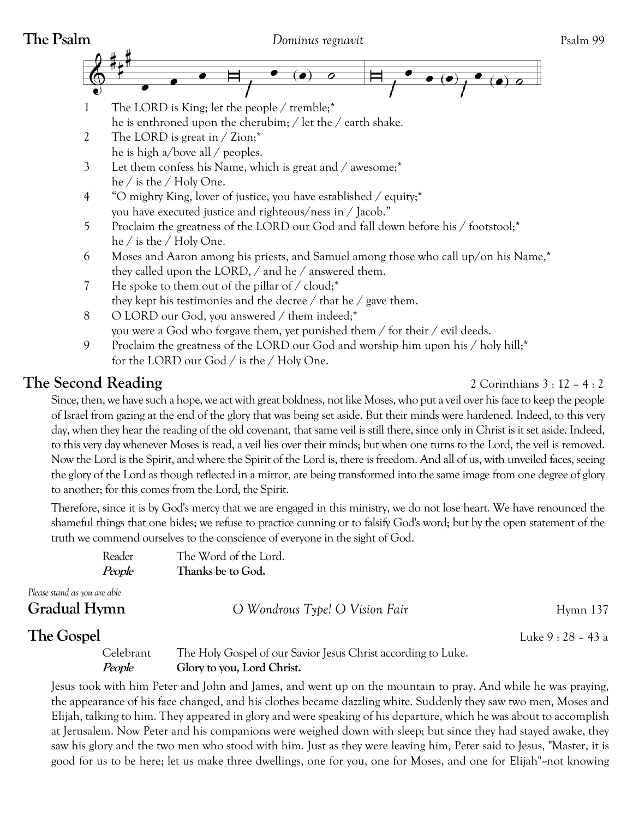

- 7 He spoke to them out of the pillar of  $/$  cloud;<sup>\*</sup> they kept his testimonies and the decree / that he / gave them.
- 8 O LORD our God, you answered / them indeed;\* you were a God who forgave them, yet punished them / for their / evil deeds.
- 9 Proclaim the greatness of the LORD our God and worship him upon his / holy hill;<sup>\*</sup> for the LORD our God / is the / Holy One.

## **The Second Reading** 2 Corinthians 3 : 12 – 4 : 2

Since, then, we have such a hope, we act with great boldness, not like Moses, who put a veil over his face to keep the people of Israel from gazing at the end of the glory that was being set aside. But their minds were hardened. Indeed, to this very day, when they hear the reading of the old covenant, that same veil is still there, since only in Christ is it set aside. Indeed, to this very day whenever Moses is read, a veil lies over their minds; but when one turns to the Lord, the veil is removed. Now the Lord is the Spirit, and where the Spirit of the Lord is, there is freedom. And all of us, with unveiled faces, seeing the glory of the Lord as though reflected in a mirror, are being transformed into the same image from one degree of glory to another; for this comes from the Lord, the Spirit.

Therefore, since it is by God's mercy that we are engaged in this ministry, we do not lose heart. We have renounced the shameful things that one hides; we refuse to practice cunning or to falsify God's word; but by the open statement of the truth we commend ourselves to the conscience of everyone in the sight of God.

| Reader | The Word of the Lord. |
|--------|-----------------------|
| People | Thanks be to God.     |

| Please stand as you are able |  |
|------------------------------|--|
| Gradual Hymn                 |  |

**Gradual Hymn** *O Wondrous Type! O Vision Fair* Hymn 137

**The Gospel** Luke 9 : 28 – 43 a

Celebrant The Holy Gospel of our Savior Jesus Christ according to Luke. **People Glory to you, Lord Christ.** 

Jesus took with him Peter and John and James, and went up on the mountain to pray. And while he was praying, the appearance of his face changed, and his clothes became dazzling white. Suddenly they saw two men, Moses and Elijah, talking to him. They appeared in glory and were speaking of his departure, which he was about to accomplish at Jerusalem. Now Peter and his companions were weighed down with sleep; but since they had stayed awake, they saw his glory and the two men who stood with him. Just as they were leaving him, Peter said to Jesus, "Master, it is good for us to be here; let us make three dwellings, one for you, one for Moses, and one for Elijah"--not knowing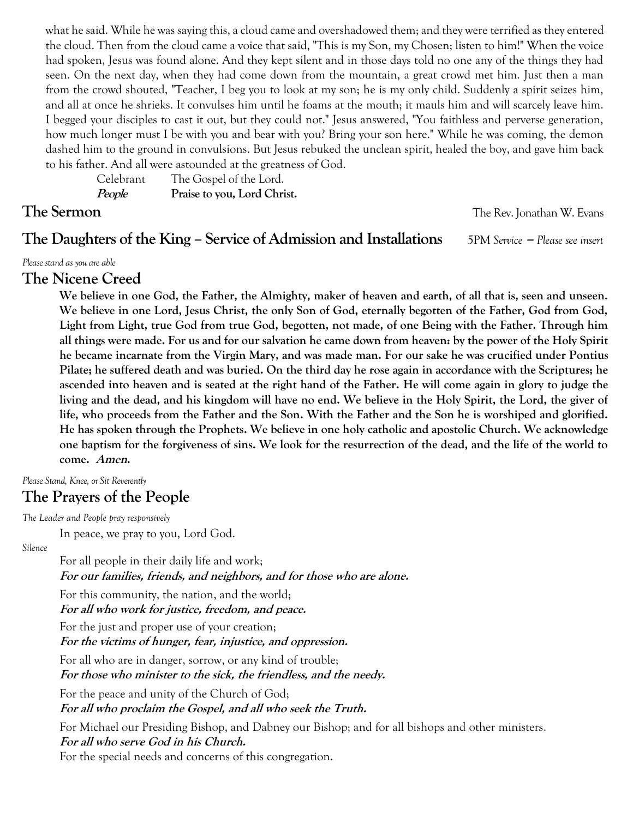what he said. While he was saying this, a cloud came and overshadowed them; and they were terrified as they entered the cloud. Then from the cloud came a voice that said, "This is my Son, my Chosen; listen to him!" When the voice had spoken, Jesus was found alone. And they kept silent and in those days told no one any of the things they had seen. On the next day, when they had come down from the mountain, a great crowd met him. Just then a man from the crowd shouted, "Teacher, I beg you to look at my son; he is my only child. Suddenly a spirit seizes him, and all at once he shrieks. It convulses him until he foams at the mouth; it mauls him and will scarcely leave him. I begged your disciples to cast it out, but they could not." Jesus answered, "You faithless and perverse generation, how much longer must I be with you and bear with you? Bring your son here." While he was coming, the demon dashed him to the ground in convulsions. But Jesus rebuked the unclean spirit, healed the boy, and gave him back to his father. And all were astounded at the greatness of God.

Celebrant The Gospel of the Lord. **People Praise to you, Lord Christ.** 

## **The Sermon** The Rev. Jonathan W. Evans

### **The Daughters of the King – Service of Admission and Installations** 5PM *Service* **–** *Please see insert*

*Please stand as you are able*

### **The Nicene Creed**

**We believe in one God, the Father, the Almighty, maker of heaven and earth, of all that is, seen and unseen. We believe in one Lord, Jesus Christ, the only Son of God, eternally begotten of the Father, God from God, Light from Light, true God from true God, begotten, not made, of one Being with the Father. Through him all things were made. For us and for our salvation he came down from heaven: by the power of the Holy Spirit he became incarnate from the Virgin Mary, and was made man. For our sake he was crucified under Pontius Pilate; he suffered death and was buried. On the third day he rose again in accordance with the Scriptures; he ascended into heaven and is seated at the right hand of the Father. He will come again in glory to judge the living and the dead, and his kingdom will have no end. We believe in the Holy Spirit, the Lord, the giver of life, who proceeds from the Father and the Son. With the Father and the Son he is worshiped and glorified. He has spoken through the Prophets. We believe in one holy catholic and apostolic Church. We acknowledge one baptism for the forgiveness of sins. We look for the resurrection of the dead, and the life of the world to come. Amen.**

*Please Stand, Knee,or Sit Reverently*

## **The Prayers of the People**

*The Leader and People pray responsively*

In peace, we pray to you, Lord God.

*Silence*

For all people in their daily life and work; **For our families, friends, and neighbors, and for those who are alone.** For this community, the nation, and the world; **For all who work for justice, freedom, and peace.** For the just and proper use of your creation; **For the victims of hunger, fear, injustice, and oppression.** For all who are in danger, sorrow, or any kind of trouble; **For those who minister to the sick, the friendless, and the needy.** For the peace and unity of the Church of God; **For all who proclaim the Gospel, and all who seek the Truth.** For Michael our Presiding Bishop, and Dabney our Bishop; and for all bishops and other ministers.

### **For all who serve God in his Church.**

For the special needs and concerns of this congregation.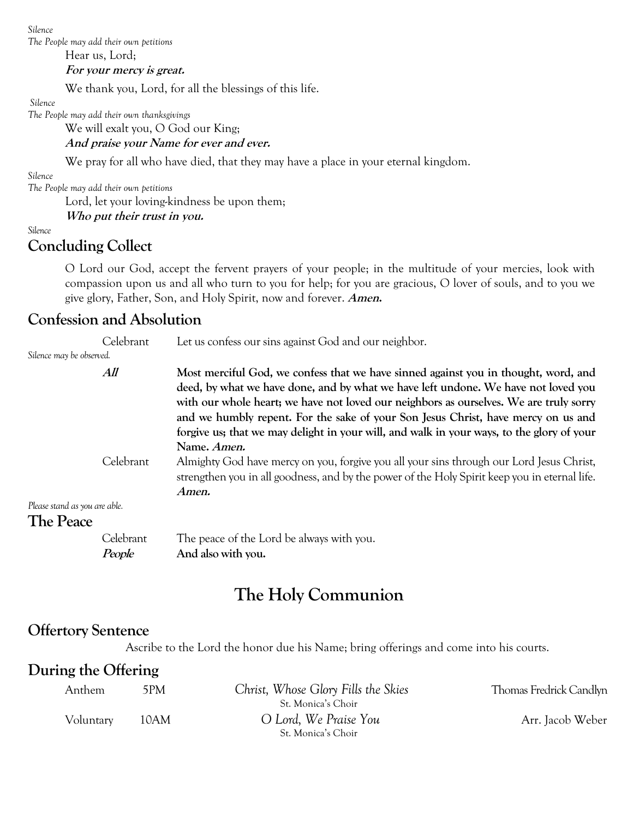*Silence*

*The People may add their own petitions*

Hear us, Lord;

### **For your mercy is great.**

We thank you, Lord, for all the blessings of this life.

*Silence*

*The People may add their own thanksgivings*

We will exalt you, O God our King;

### **And praise your Name for ever and ever.**

We pray for all who have died, that they may have a place in your eternal kingdom.

*Silence*

*The People may add their own petitions*

Lord, let your loving-kindness be upon them;

**Who put their trust in you.**

*Silence*

## **Concluding Collect**

O Lord our God, accept the fervent prayers of your people; in the multitude of your mercies, look with compassion upon us and all who turn to you for help; for you are gracious, O lover of souls, and to you we give glory, Father, Son, and Holy Spirit, now and forever. **Amen.**

## **Confession and Absolution**

|                               | Celebrant | Let us confess our sins against God and our neighbor.                                                                                                                                                                                                                                                                                                                                                                                                 |
|-------------------------------|-----------|-------------------------------------------------------------------------------------------------------------------------------------------------------------------------------------------------------------------------------------------------------------------------------------------------------------------------------------------------------------------------------------------------------------------------------------------------------|
| Silence may be observed.      |           |                                                                                                                                                                                                                                                                                                                                                                                                                                                       |
|                               | All       | Most merciful God, we confess that we have sinned against you in thought, word, and<br>deed, by what we have done, and by what we have left undone. We have not loved you<br>with our whole heart; we have not loved our neighbors as ourselves. We are truly sorry<br>and we humbly repent. For the sake of your Son Jesus Christ, have mercy on us and<br>forgive us; that we may delight in your will, and walk in your ways, to the glory of your |
|                               |           | Name. Amen.                                                                                                                                                                                                                                                                                                                                                                                                                                           |
|                               | Celebrant | Almighty God have mercy on you, forgive you all your sins through our Lord Jesus Christ,<br>strengthen you in all goodness, and by the power of the Holy Spirit keep you in eternal life.<br>Amen.                                                                                                                                                                                                                                                    |
| Please stand as you are able. |           |                                                                                                                                                                                                                                                                                                                                                                                                                                                       |
| The Peace                     |           |                                                                                                                                                                                                                                                                                                                                                                                                                                                       |
|                               | `elebrant | The peace of the Lord be always with you.                                                                                                                                                                                                                                                                                                                                                                                                             |

**People And also with you.**

# **The Holy Communion**

## **Offertory Sentence**

Ascribe to the Lord the honor due his Name; bring offerings and come into his courts.

# **During the Offering**

| Anthem    | 5PM  | Christ, Whose Glory Fills the Skies | Thomas Fredrick Candlyn |
|-----------|------|-------------------------------------|-------------------------|
|           |      | St. Monica's Choir                  |                         |
| Voluntary | 10AM | O Lord, We Praise You               | Arr. Jacob Weber        |
|           |      | St. Monica's Choir                  |                         |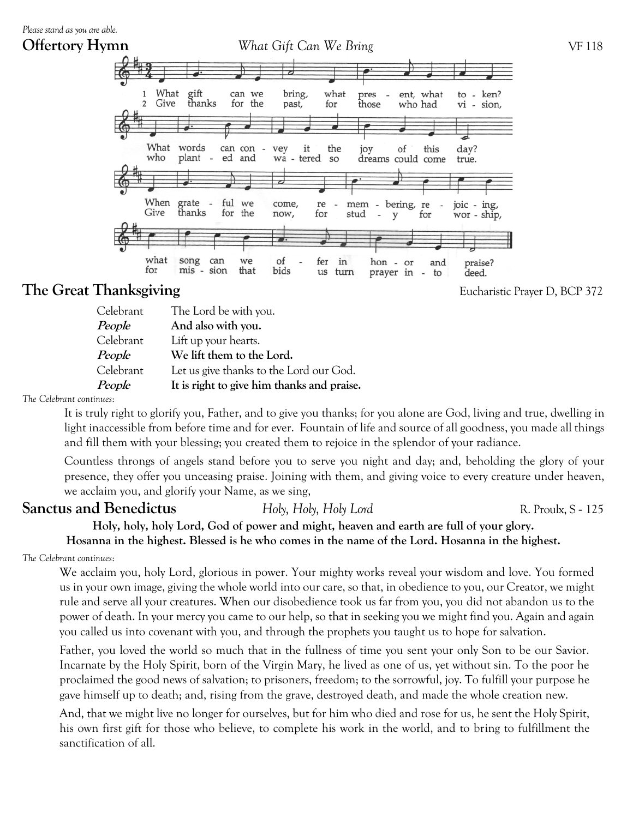

## **The Great Thanksgiving** *Eucharistic Prayer D, BCP 372*

| Celebrant     | The Lord be with you.                      |
|---------------|--------------------------------------------|
| People        | And also with you.                         |
| Celebrant     | Lift up your hearts.                       |
| People        | We lift them to the Lord.                  |
| Celebrant     | Let us give thanks to the Lord our God.    |
| <i>People</i> | It is right to give him thanks and praise. |

*The Celebrant continues*:

It is truly right to glorify you, Father, and to give you thanks; for you alone are God, living and true, dwelling in light inaccessible from before time and for ever. Fountain of life and source of all goodness, you made all things and fill them with your blessing; you created them to rejoice in the splendor of your radiance.

Countless throngs of angels stand before you to serve you night and day; and, beholding the glory of your presence, they offer you unceasing praise. Joining with them, and giving voice to every creature under heaven, we acclaim you, and glorify your Name, as we sing,

### **Sanctus and Benedictus** *Holy, Holy, Holy Lord* R. Proulx, S - 125

**Holy, holy, holy Lord, God of power and might, heaven and earth are full of your glory.**

### **Hosanna in the highest. Blessed is he who comes in the name of the Lord. Hosanna in the highest.**

*The Celebrant continues*:

We acclaim you, holy Lord, glorious in power. Your mighty works reveal your wisdom and love. You formed us in your own image, giving the whole world into our care, so that, in obedience to you, our Creator, we might rule and serve all your creatures. When our disobedience took us far from you, you did not abandon us to the power of death. In your mercy you came to our help, so that in seeking you we might find you. Again and again you called us into covenant with you, and through the prophets you taught us to hope for salvation.

Father, you loved the world so much that in the fullness of time you sent your only Son to be our Savior. Incarnate by the Holy Spirit, born of the Virgin Mary, he lived as one of us, yet without sin. To the poor he proclaimed the good news of salvation; to prisoners, freedom; to the sorrowful, joy. To fulfill your purpose he gave himself up to death; and, rising from the grave, destroyed death, and made the whole creation new.

And, that we might live no longer for ourselves, but for him who died and rose for us, he sent the Holy Spirit, his own first gift for those who believe, to complete his work in the world, and to bring to fulfillment the sanctification of all.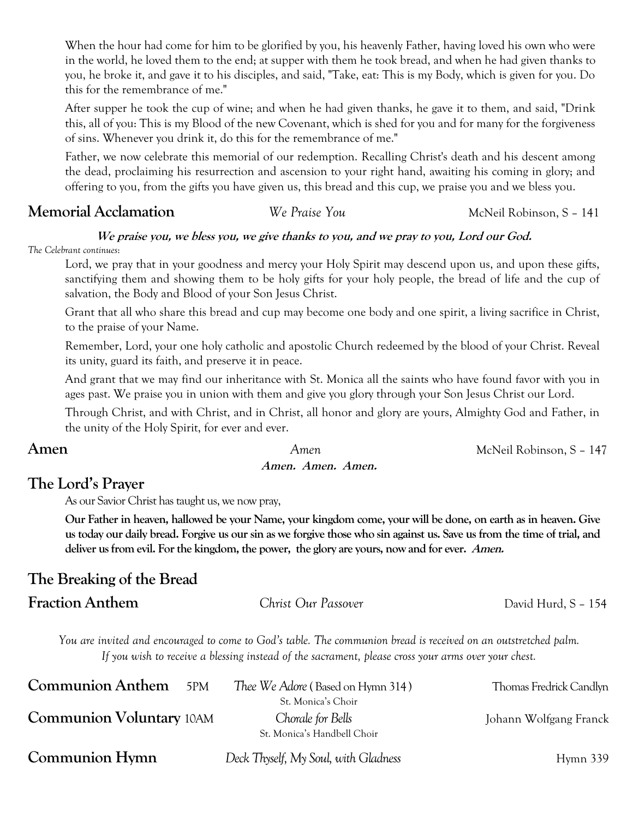When the hour had come for him to be glorified by you, his heavenly Father, having loved his own who were in the world, he loved them to the end; at supper with them he took bread, and when he had given thanks to you, he broke it, and gave it to his disciples, and said, "Take, eat: This is my Body, which is given for you. Do this for the remembrance of me."

After supper he took the cup of wine; and when he had given thanks, he gave it to them, and said, "Drink this, all of you: This is my Blood of the new Covenant, which is shed for you and for many for the forgiveness of sins. Whenever you drink it, do this for the remembrance of me."

Father, we now celebrate this memorial of our redemption. Recalling Christ's death and his descent among the dead, proclaiming his resurrection and ascension to your right hand, awaiting his coming in glory; and offering to you, from the gifts you have given us, this bread and this cup, we praise you and we bless you.

### **Memorial Acclamation** *We Praise You McNeil Robinson, S - 141*

# **We praise you, we bless you, we give thanks to you, and we pray to you, Lord our God.**

### *The Celebrant continues*:

Lord, we pray that in your goodness and mercy your Holy Spirit may descend upon us, and upon these gifts, sanctifying them and showing them to be holy gifts for your holy people, the bread of life and the cup of salvation, the Body and Blood of your Son Jesus Christ.

Grant that all who share this bread and cup may become one body and one spirit, a living sacrifice in Christ, to the praise of your Name.

Remember, Lord, your one holy catholic and apostolic Church redeemed by the blood of your Christ. Reveal its unity, guard its faith, and preserve it in peace.

And grant that we may find our inheritance with St. Monica all the saints who have found favor with you in ages past. We praise you in union with them and give you glory through your Son Jesus Christ our Lord.

Through Christ, and with Christ, and in Christ, all honor and glory are yours, Almighty God and Father, in the unity of the Holy Spirit, for ever and ever.

# **Amen** *Amen* McNeil Robinson, S – 147 **Amen. Amen. Amen.**

# **The Lord's Prayer**

As our Savior Christ has taught us, we now pray,

**Our Father in heaven, hallowed be your Name, your kingdom come, your will be done, on earth as in heaven. Give us today our daily bread. Forgive us our sin as we forgive those who sin against us. Save us from the time of trial, and deliver us from evil. For the kingdom, the power, the glory are yours, now and for ever. Amen.**

## **The Breaking of the Bread**

**Fraction Anthem** *Christ Our Passover* David Hurd, S – 154

*You are invited and encouraged to come to God's table. The communion bread is received on an outstretched palm. If you wish to receive a blessing instead of the sacrament, please cross your arms over your chest.*

| <b>Communion Anthem</b>         | 5PM | Thee We Adore (Based on Hymn 314)<br>St. Monica's Choir | Thomas Fredrick Candlyn |
|---------------------------------|-----|---------------------------------------------------------|-------------------------|
| <b>Communion Voluntary 10AM</b> |     | Chorale for Bells<br>St. Monica's Handbell Choir        | Johann Wolfgang Franck  |
|                                 |     | <u>n 1751 1010 1011 1011 1</u>                          |                         |

# **Communion Hymn** *Deck Thyself, My Soul, with Gladness* Hymn 339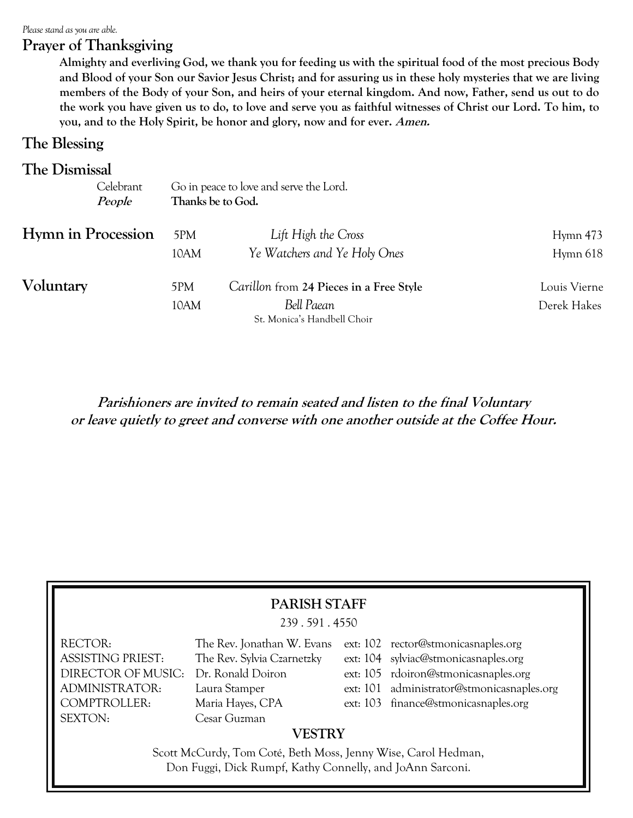*Please stand as you are able.*

### **Prayer of Thanksgiving**

**Almighty and everliving God, we thank you for feeding us with the spiritual food of the most precious Body and Blood of your Son our Savior Jesus Christ; and for assuring us in these holy mysteries that we are living members of the Body of your Son, and heirs of your eternal kingdom. And now, Father, send us out to do the work you have given us to do, to love and serve you as faithful witnesses of Christ our Lord. To him, to you, and to the Holy Spirit, be honor and glory, now and for ever. Amen.**

### **The Blessing**

### **The Dismissal**

| Celebrant<br>Thanks be to God.<br>People |  |             | Go in peace to love and serve the Lord.                                              |                             |  |
|------------------------------------------|--|-------------|--------------------------------------------------------------------------------------|-----------------------------|--|
| Hymn in Procession                       |  | 5PM<br>10AM | Lift High the Cross<br>Ye Watchers and Ye Holy Ones                                  | Hymn 473<br>Hymn 618        |  |
| Voluntary                                |  | 5PM<br>10AM | Carillon from 24 Pieces in a Free Style<br>Bell Paean<br>St. Monica's Handbell Choir | Louis Vierne<br>Derek Hakes |  |

### **Parishioners are invited to remain seated and listen to the final Voluntary or leave quietly to greet and converse with one another outside at the Coffee Hour.**

## **PARISH STAFF**

239 . 591 . 4550

RECTOR: The Rev. Jonathan W. Evans ext: 102 rector@stmonicasnaples.org ASSISTING PRIEST: The Rev. Sylvia Czarnetzky ext: SEXTON: Cesar Guzman

| 102 ICCIOI@stifformcashapics.org |
|----------------------------------|
| 104 sylviac@stmonicasnaples.org  |
|                                  |

- DIRECTOR OF MUSIC: Dr. Ronald Doiron ext: 105 rdoiron@stmonicasnaples.org
- ADMINISTRATOR: Laura Stamper ext: 101 administrator@stmonicasnaples.org
- COMPTROLLER: Maria Hayes, CPA ext: 103 finance@stmonicasnaples.org

### **VESTRY**

Scott McCurdy, Tom Coté, Beth Moss, Jenny Wise, Carol Hedman, Don Fuggi, Dick Rumpf, Kathy Connelly, and JoAnn Sarconi.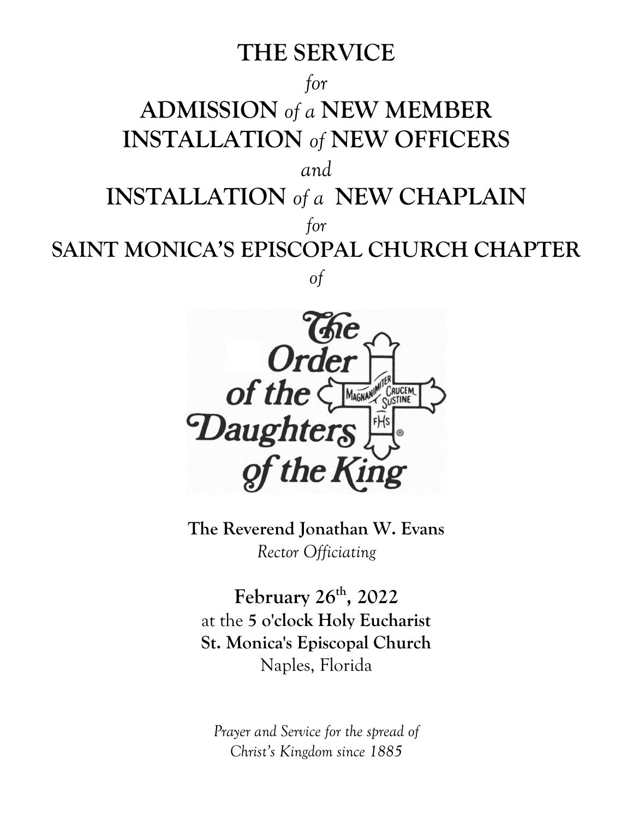# **THE SERVICE**

# *for* **ADMISSION** *of a* **NEW MEMBER INSTALLATION** *of* **NEW OFFICERS**

# *and*

# **INSTALLATION** *of a* **NEW CHAPLAIN**

*for* **SAINT MONICA'S EPISCOPAL CHURCH CHAPTER**

*of*



**The Reverend Jonathan W. Evans** *Rector Officiating*

**February 26th, 2022** at the **5 o'clock Holy Eucharist St. Monica's Episcopal Church** Naples, Florida

*Prayer and Service for the spread of Christ's Kingdom since 1885*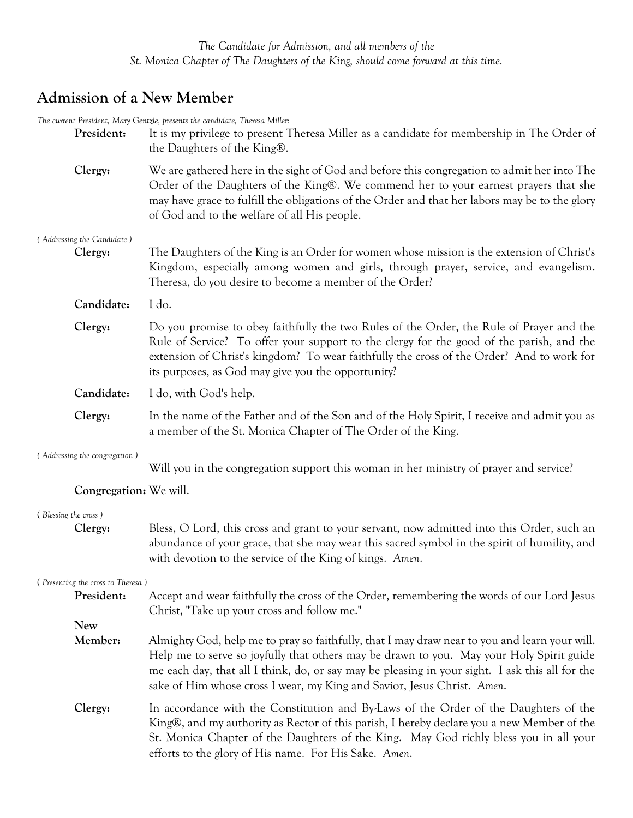*The Candidate for Admission, and all members of the St. Monica Chapter of The Daughters of the King, should come forward at this time.*

# **Admission of a New Member**

*The current President, Mary Gentzle, presents the candidate, Theresa Miller:*

| President:                            | It is my privilege to present Theresa Miller as a candidate for membership in The Order of<br>the Daughters of the King®.                                                                                                                                                                                                                                               |  |  |
|---------------------------------------|-------------------------------------------------------------------------------------------------------------------------------------------------------------------------------------------------------------------------------------------------------------------------------------------------------------------------------------------------------------------------|--|--|
| Clergy:                               | We are gathered here in the sight of God and before this congregation to admit her into The<br>Order of the Daughters of the King®. We commend her to your earnest prayers that she<br>may have grace to fulfill the obligations of the Order and that her labors may be to the glory<br>of God and to the welfare of all His people.                                   |  |  |
| (Addressing the Candidate)<br>Clergy: | The Daughters of the King is an Order for women whose mission is the extension of Christ's<br>Kingdom, especially among women and girls, through prayer, service, and evangelism.<br>Theresa, do you desire to become a member of the Order?                                                                                                                            |  |  |
| Candidate:                            | I do.                                                                                                                                                                                                                                                                                                                                                                   |  |  |
| Clergy:                               | Do you promise to obey faithfully the two Rules of the Order, the Rule of Prayer and the<br>Rule of Service? To offer your support to the clergy for the good of the parish, and the<br>extension of Christ's kingdom? To wear faithfully the cross of the Order? And to work for<br>its purposes, as God may give you the opportunity?                                 |  |  |
| Candidate:                            | I do, with God's help.                                                                                                                                                                                                                                                                                                                                                  |  |  |
| Clergy:                               | In the name of the Father and of the Son and of the Holy Spirit, I receive and admit you as<br>a member of the St. Monica Chapter of The Order of the King.                                                                                                                                                                                                             |  |  |
| (Addressing the congregation)         | Will you in the congregation support this woman in her ministry of prayer and service?                                                                                                                                                                                                                                                                                  |  |  |
| Congregation: We will.                |                                                                                                                                                                                                                                                                                                                                                                         |  |  |
| (Blessing the cross)<br>Clergy:       | Bless, O Lord, this cross and grant to your servant, now admitted into this Order, such an<br>abundance of your grace, that she may wear this sacred symbol in the spirit of humility, and<br>with devotion to the service of the King of kings. Amen.                                                                                                                  |  |  |
| (Presenting the cross to Theresa)     |                                                                                                                                                                                                                                                                                                                                                                         |  |  |
| President:                            | Accept and wear faithfully the cross of the Order, remembering the words of our Lord Jesus<br>Christ, "Take up your cross and follow me."                                                                                                                                                                                                                               |  |  |
| <b>New</b>                            |                                                                                                                                                                                                                                                                                                                                                                         |  |  |
| Member:                               | Almighty God, help me to pray so faithfully, that I may draw near to you and learn your will.<br>Help me to serve so joyfully that others may be drawn to you. May your Holy Spirit guide<br>me each day, that all I think, do, or say may be pleasing in your sight. I ask this all for the<br>sake of Him whose cross I wear, my King and Savior, Jesus Christ. Amen. |  |  |
| Clergy:                               | In accordance with the Constitution and By-Laws of the Order of the Daughters of the<br>King®, and my authority as Rector of this parish, I hereby declare you a new Member of the<br>St. Monica Chapter of the Daughters of the King. May God richly bless you in all your<br>efforts to the glory of His name. For His Sake. Amen.                                    |  |  |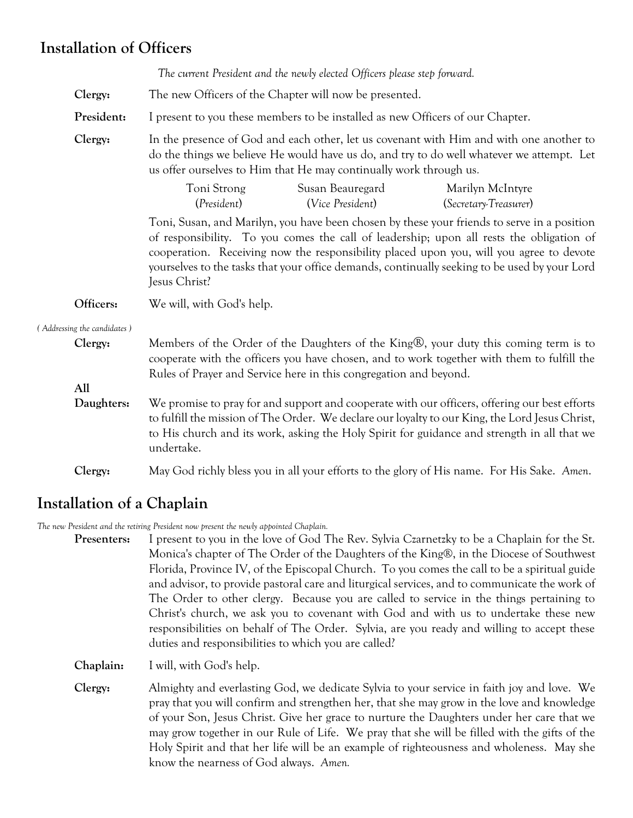## **Installation of Officers**

| The current President and the newly elected Officers please step forward. |                                                                                                                                                                                                                                                                                                                                                                                                      |                                      |                                                                                                                                                                                                                                                                                                 |  |  |
|---------------------------------------------------------------------------|------------------------------------------------------------------------------------------------------------------------------------------------------------------------------------------------------------------------------------------------------------------------------------------------------------------------------------------------------------------------------------------------------|--------------------------------------|-------------------------------------------------------------------------------------------------------------------------------------------------------------------------------------------------------------------------------------------------------------------------------------------------|--|--|
| Clergy:                                                                   | The new Officers of the Chapter will now be presented.                                                                                                                                                                                                                                                                                                                                               |                                      |                                                                                                                                                                                                                                                                                                 |  |  |
| President:                                                                | I present to you these members to be installed as new Officers of our Chapter.                                                                                                                                                                                                                                                                                                                       |                                      |                                                                                                                                                                                                                                                                                                 |  |  |
| Clergy:                                                                   | In the presence of God and each other, let us covenant with Him and with one another to<br>do the things we believe He would have us do, and try to do well whatever we attempt. Let<br>us offer ourselves to Him that He may continually work through us.                                                                                                                                           |                                      |                                                                                                                                                                                                                                                                                                 |  |  |
|                                                                           | Toni Strong<br>(President)                                                                                                                                                                                                                                                                                                                                                                           | Susan Beauregard<br>(Vice President) | Marilyn McIntyre<br>(Secretary-Treasurer)                                                                                                                                                                                                                                                       |  |  |
|                                                                           | Toni, Susan, and Marilyn, you have been chosen by these your friends to serve in a position<br>of responsibility. To you comes the call of leadership; upon all rests the obligation of<br>cooperation. Receiving now the responsibility placed upon you, will you agree to devote<br>yourselves to the tasks that your office demands, continually seeking to be used by your Lord<br>Jesus Christ? |                                      |                                                                                                                                                                                                                                                                                                 |  |  |
| Officers:                                                                 | We will, with God's help.                                                                                                                                                                                                                                                                                                                                                                            |                                      |                                                                                                                                                                                                                                                                                                 |  |  |
| (Addressing the candidates)                                               |                                                                                                                                                                                                                                                                                                                                                                                                      |                                      |                                                                                                                                                                                                                                                                                                 |  |  |
| Clergy:                                                                   | Members of the Order of the Daughters of the King®, your duty this coming term is to<br>cooperate with the officers you have chosen, and to work together with them to fulfill the<br>Rules of Prayer and Service here in this congregation and beyond.                                                                                                                                              |                                      |                                                                                                                                                                                                                                                                                                 |  |  |
| All                                                                       |                                                                                                                                                                                                                                                                                                                                                                                                      |                                      |                                                                                                                                                                                                                                                                                                 |  |  |
| Daughters:                                                                | undertake.                                                                                                                                                                                                                                                                                                                                                                                           |                                      | We promise to pray for and support and cooperate with our officers, offering our best efforts<br>to fulfill the mission of The Order. We declare our loyalty to our King, the Lord Jesus Christ,<br>to His church and its work, asking the Holy Spirit for guidance and strength in all that we |  |  |
| Clergy:                                                                   |                                                                                                                                                                                                                                                                                                                                                                                                      |                                      | May God richly bless you in all your efforts to the glory of His name. For His Sake. Amen.                                                                                                                                                                                                      |  |  |

# **Installation of a Chaplain**

*The new President and the retiring President now present the newly appointed Chaplain.*

**Presenters:** I present to you in the love of God The Rev. Sylvia Czarnetzky to be a Chaplain for the St. Monica's chapter of The Order of the Daughters of the King®, in the Diocese of Southwest Florida, Province IV, of the Episcopal Church. To you comes the call to be a spiritual guide and advisor, to provide pastoral care and liturgical services, and to communicate the work of The Order to other clergy. Because you are called to service in the things pertaining to Christ's church, we ask you to covenant with God and with us to undertake these new responsibilities on behalf of The Order. Sylvia, are you ready and willing to accept these duties and responsibilities to which you are called?

**Chaplain:** I will, with God's help.

**Clergy:** Almighty and everlasting God, we dedicate Sylvia to your service in faith joy and love. We pray that you will confirm and strengthen her, that she may grow in the love and knowledge of your Son, Jesus Christ. Give her grace to nurture the Daughters under her care that we may grow together in our Rule of Life. We pray that she will be filled with the gifts of the Holy Spirit and that her life will be an example of righteousness and wholeness. May she know the nearness of God always. *Amen.*